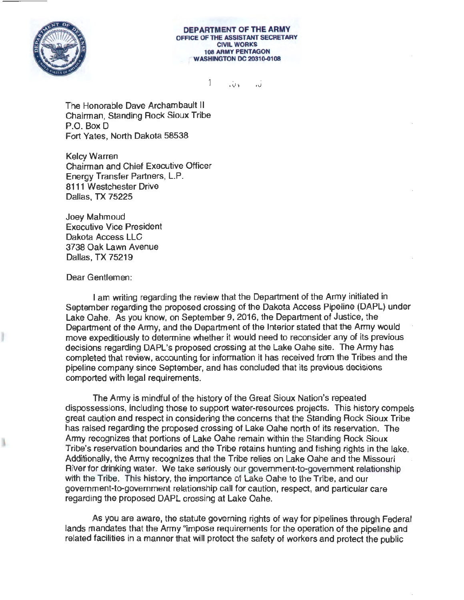

**DEPARTMENT OF THE ARMY**  OFFlCE OF THE ASSISTANT SECRETARY **CIVIL WORKS 108 ARMY** PENTAGON WASHINGTON DC 20310-0108

> 1 JU V .<br>ن

The Honorable Dave Archambault II Chairman, Standing Rock Sioux Tribe P.O. Box D Fort Yates, North Dakota 58538

Kelcy Warren Chairman and Chief Executive Officer Energy Transfer Partners, LP. 8111 Westchester Drive Dallas, TX 75225

Joey Mahmoud Executive Vice President Dakota Access LLC 3738 Oak Lawn Avenue Dallas, TX 75219

## Dear Gentlemen:

I am writing regarding the review that the Department of the Army initiated in September regarding the proposed crossing of the Dakota Access Pipeline (DAPL) under Lake Oahe. As you know, on September 9, 2016, the Department of Justice, the Department of the Army, and the Department of the Interior stated that the Army would move expeditiously to determine whether it would need to reconsider any of its previous decisions regarding DAPL's proposed crossing at the Lake Oahe site. The Army has completed that review, accounting for infonnation it has received from the Tribes and the pipeline company since September, and has concluded that its previous decisions comported with legal requirements.

The Army is mindful of the history of the Great Sioux Nation's repeated dispossessions, including those to support water-resources projects. This history compels great caution and respect in considering the concerns that the Standing Rock Sioux Tribe has raised regarding the proposed crossing of Lake Oahe north of its reservation. The Anny recognizes that portions of Lake Oahe remain within the Standing Rock Sioux Tribe's reservation boundaries and the Tribe retains hunting and fishing rights in the lake. Additionally, the Anny recognizes that the Tribe relies on Lake Oahe and the Missouri River for drinking water. We take seriously our government-to-government relationship with the Tribe. This history, the importance of Lake Oahe to the Tribe, and our government-to-government relationship call for caution, respect, and particular care regarding the proposed DAPL crossing at Lake Oahe.

As you are aware, the statute governing rights of way for pipelines through Federal lands mandates that the Army "impose requirements for the operation of the pipeline and related facilities in a manner that will protect the safety of workers and protect the public